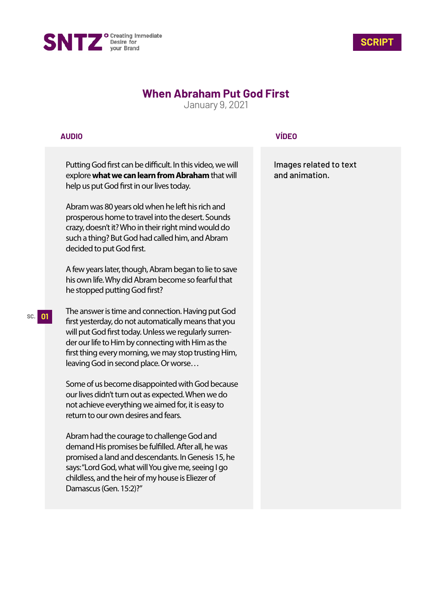



# **When Abraham Put God First**

January 9, 2021

### **AUDIO**

Putting God first can be difficult. In this video, we will explore **what we can learn from Abraham** that will help us put God first in our lives today.

Abram was 80 years old when he left his rich and prosperous home to travel into the desert. Sounds crazy, doesn't it? Who in their right mind would do such a thing? But God had called him, and Abram decided to put God first.

A few years later, though, Abram began to lie to save his own life. Why did Abram become so fearful that he stopped putting God first?

The answer is time and connection. Having put God first yesterday, do not automatically means that you will put God first today. Unless we regularly surrender our life to Him by connecting with Him as the first thing every morning, we may stop trusting Him, leaving God in second place. Or worse…

Some of us become disappointed with God because our lives didn't turn out as expected. When we do not achieve everything we aimed for, it is easy to return to our own desires and fears.

Abram had the courage to challenge God and demand His promises be fulfilled. After all, he was promised a land and descendants. In Genesis 15, he says: "Lord God, what will You give me, seeing I go childless, and the heir of my house is Eliezer of Damascus (Gen. 15:2)?"

## **VÍDEO**

Images related to text and animation.

#### **SC. 01**